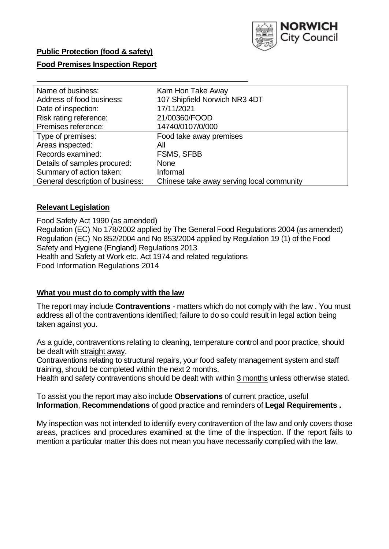

### **Public Protection (food & safety)**

### **Food Premises Inspection Report**

| Name of business:                | Kam Hon Take Away                         |  |  |  |  |  |
|----------------------------------|-------------------------------------------|--|--|--|--|--|
| Address of food business:        | 107 Shipfield Norwich NR3 4DT             |  |  |  |  |  |
| Date of inspection:              | 17/11/2021                                |  |  |  |  |  |
| Risk rating reference:           | 21/00360/FOOD                             |  |  |  |  |  |
| Premises reference:              | 14740/0107/0/000                          |  |  |  |  |  |
| Type of premises:                | Food take away premises                   |  |  |  |  |  |
| Areas inspected:                 | All                                       |  |  |  |  |  |
| Records examined:                | <b>FSMS, SFBB</b>                         |  |  |  |  |  |
| Details of samples procured:     | <b>None</b>                               |  |  |  |  |  |
| Summary of action taken:         | Informal                                  |  |  |  |  |  |
| General description of business: | Chinese take away serving local community |  |  |  |  |  |

#### **Relevant Legislation**

 Food Safety Act 1990 (as amended) Regulation (EC) No 178/2002 applied by The General Food Regulations 2004 (as amended) Regulation (EC) No 852/2004 and No 853/2004 applied by Regulation 19 (1) of the Food Safety and Hygiene (England) Regulations 2013 Health and Safety at Work etc. Act 1974 and related regulations Food Information Regulations 2014

#### **What you must do to comply with the law**

 The report may include **Contraventions** - matters which do not comply with the law . You must address all of the contraventions identified; failure to do so could result in legal action being taken against you.

 As a guide, contraventions relating to cleaning, temperature control and poor practice, should be dealt with straight away.

 Contraventions relating to structural repairs, your food safety management system and staff training, should be completed within the next 2 months.

Health and safety contraventions should be dealt with within 3 months unless otherwise stated.

 To assist you the report may also include **Observations** of current practice, useful **Information**, **Recommendations** of good practice and reminders of **Legal Requirements .** 

 My inspection was not intended to identify every contravention of the law and only covers those areas, practices and procedures examined at the time of the inspection. If the report fails to mention a particular matter this does not mean you have necessarily complied with the law.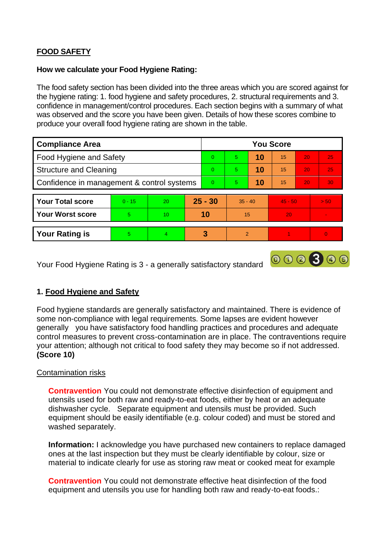## **FOOD SAFETY**

#### **How we calculate your Food Hygiene Rating:**

 The food safety section has been divided into the three areas which you are scored against for the hygiene rating: 1. food hygiene and safety procedures, 2. structural requirements and 3. confidence in management/control procedures. Each section begins with a summary of what was observed and the score you have been given. Details of how these scores combine to produce your overall food hygiene rating are shown in the table.

| <b>Compliance Area</b>                     |          |                |           | <b>You Score</b> |               |    |           |                 |          |  |  |
|--------------------------------------------|----------|----------------|-----------|------------------|---------------|----|-----------|-----------------|----------|--|--|
| Food Hygiene and Safety                    |          |                |           | $\Omega$         | 5             | 10 | 15        | 20              | 25       |  |  |
| <b>Structure and Cleaning</b>              |          |                | $\Omega$  | 5.               | 10            | 15 | 20        | 25              |          |  |  |
| Confidence in management & control systems |          |                | $\Omega$  | 5                | 10            | 15 | 20        | 30 <sup>°</sup> |          |  |  |
|                                            |          |                |           |                  |               |    |           |                 |          |  |  |
| <b>Your Total score</b>                    | $0 - 15$ | 20             | $25 - 30$ |                  | $35 - 40$     |    | $45 - 50$ |                 | > 50     |  |  |
| <b>Your Worst score</b>                    | 5        | 10             | 10        |                  | 15            |    | 20        |                 |          |  |  |
|                                            |          |                |           |                  |               |    |           |                 |          |  |  |
| <b>Your Rating is</b>                      | 5.       | $\overline{4}$ |           | 3                | $\mathcal{P}$ |    |           |                 | $\Omega$ |  |  |

Your Food Hygiene Rating is 3 - a generally satisfactory standard

#### **1. Food Hygiene and Safety**

Food hygiene standards are generally satisfactory and maintained. There is evidence of some non-compliance with legal requirements. Some lapses are evident however generally you have satisfactory food handling practices and procedures and adequate control measures to prevent cross-contamination are in place. The contraventions require your attention; although not critical to food safety they may become so if not addressed. **(Score 10)** 

000300

#### Contamination risks

 equipment should be easily identifiable (e.g. colour coded) and must be stored and **Contravention** You could not demonstrate effective disinfection of equipment and utensils used for both raw and ready-to-eat foods, either by heat or an adequate dishwasher cycle. Separate equipment and utensils must be provided. Such washed separately.

**Information:** I acknowledge you have purchased new containers to replace damaged ones at the last inspection but they must be clearly identifiable by colour, size or material to indicate clearly for use as storing raw meat or cooked meat for example

 **Contravention** You could not demonstrate effective heat disinfection of the food equipment and utensils you use for handling both raw and ready-to-eat foods.: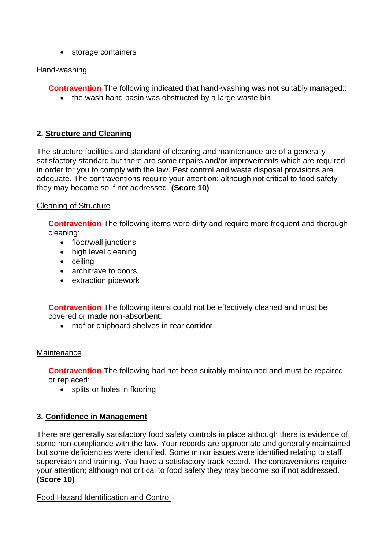• storage containers

### Hand-washing

**Contravention** The following indicated that hand-washing was not suitably managed::

• the wash hand basin was obstructed by a large waste bin

## **2. Structure and Cleaning**

 satisfactory standard but there are some repairs and/or improvements which are required The structure facilities and standard of cleaning and maintenance are of a generally in order for you to comply with the law. Pest control and waste disposal provisions are adequate. The contraventions require your attention; although not critical to food safety they may become so if not addressed. **(Score 10)** 

## Cleaning of Structure

**Contravention** The following items were dirty and require more frequent and thorough cleaning:

- floor/wall junctions
- high level cleaning
- ceiling
- architrave to doors
- extraction pipework

**Contravention** The following items could not be effectively cleaned and must be covered or made non-absorbent:

• mdf or chipboard shelves in rear corridor

## **Maintenance**

**Contravention** The following had not been suitably maintained and must be repaired or replaced:

• splits or holes in flooring

# **3. Confidence in Management**

 but some deficiencies were identified. Some minor issues were identified relating to staff There are generally satisfactory food safety controls in place although there is evidence of some non-compliance with the law. Your records are appropriate and generally maintained supervision and training. You have a satisfactory track record. The contraventions require your attention; although not critical to food safety they may become so if not addressed. **(Score 10)** 

Food Hazard Identification and Control